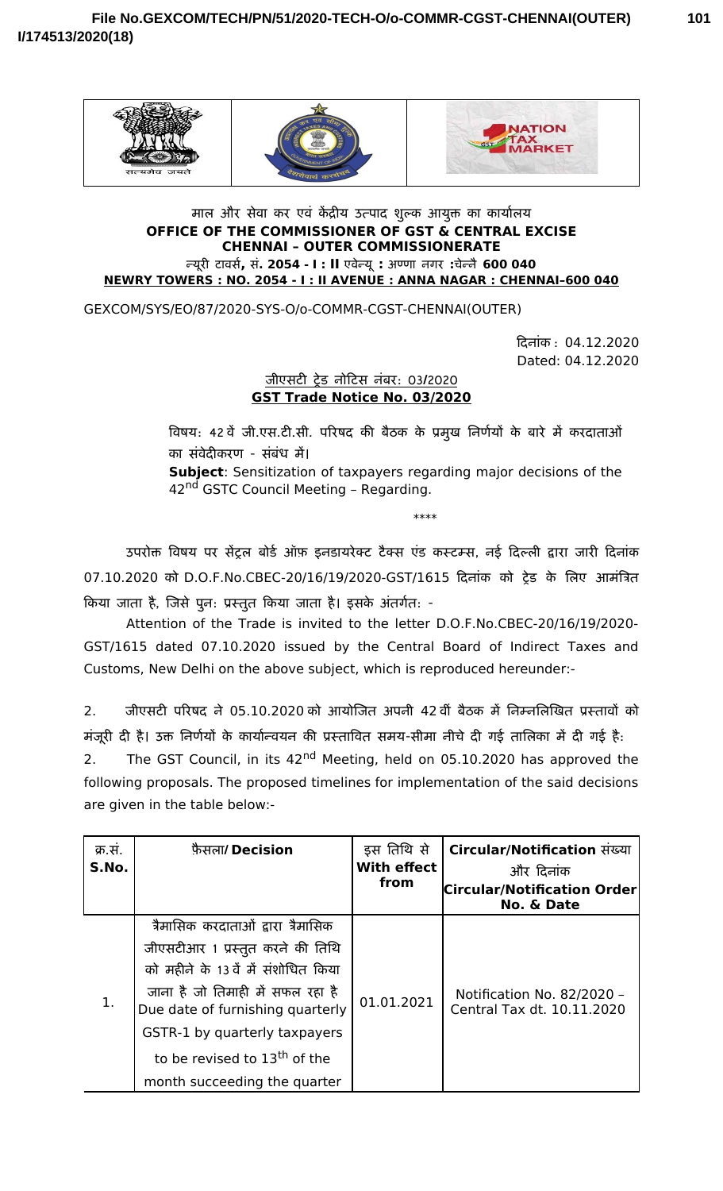



## माल और सेवा कर एव केंद्रीय उत्पाद शुल्क आयुक्त का कार्यालय **OFFICE OF THE COMMISSIONER OF GST & CENTRAL EXCISE CHENNAI – OUTER COMMISSIONERATE** न्यूरी टा-वार्स**,** से**. 2054 I : - II** एवान्यू**:** अण्णा- नगर **:**चेन्नै**600 040 NEWRY TOWERS : NO. 2054 - I : II AVENUE : ANNA NAGAR : CHENNAI–600 040**

GEXCOM/SYS/EO/87/2020-SYS-O/o-COMMR-CGST-CHENNAI(OUTER)

दिनांक : 04.12.2020 Dated: 04.12.2020

## जी(एसेटा ट्रेड नोदिटासे नंबर : 03 2020 **/ GST Trade Notice No. 03/2020**

विषय: 42वें जी.एस.टी.सी. परिषद की बैठक के प्रमुख निर्णयों के बारे में करदाताओं का संवेदीकरण - संबंध में। **Subject**: Sensitization of taxpayers regarding major decisions of the 42<sup>nd</sup> GSTC Council Meeting - Regarding.

\*\*\*\*

उपरोक्त विषय पर सेट्रल बोर्ड ऑफ़ इनडायरेक्ट टैक्स एंड कस्टम्स, नई दिल्ली द्वारा जारी दिनाक 07.10.2020 को D.O.F.No.CBEC-20/16/19/2020-GST/1615 दिनांक को ट्रेड के लिए आमात्रिता किया जाता है, जिसे पुनः प्रस्तुत किया जाता है। इसके अतर्गतः -

Attention of the Trade is invited to the letter D.O.F.No.CBEC-20/16/19/2020- GST/1615 dated 07.10.2020 issued by the Central Board of Indirect Taxes and Customs, New Delhi on the above subject, which is reproduced hereunder:-

2. जीएसटी परिषद ने 05.10.2020 को आर्योजित अपनी 42 वी बैठक में निम्नलिखित प्रस्तावों क मजूरी दी है। उक्त निर्णयों के कार्यान्वयन की प्रस्तावित समय-सीमा नीचे दी गई तालिका में दी गई है:

2. The GST Council, in its 42<sup>nd</sup> Meeting, held on 05.10.2020 has approved the following proposals. The proposed timelines for implementation of the said decisions are given in the table below:-

| क्र.स.<br>S.No. | फ़ैसला/ Decision                                                                                                                                                                                                                                                                                    | इस तिथि से<br><b>With effect</b><br>from | Circular/Notification संख्या<br>और दिनांक<br><b>Circular/Notification Order</b><br>No. & Date |
|-----------------|-----------------------------------------------------------------------------------------------------------------------------------------------------------------------------------------------------------------------------------------------------------------------------------------------------|------------------------------------------|-----------------------------------------------------------------------------------------------|
| 1.              | त्रैमासिक करदाताओं द्वारा त्रैमासिक<br>जीएसटीआर 1 प्रस्तुत करने की तिथि<br>को महीने के 13 वें में संशोधित किया<br>जाना है जो तिमाही में सफल रहा है<br>Due date of furnishing quarterly<br>GSTR-1 by quarterly taxpayers<br>to be revised to 13 <sup>th</sup> of the<br>month succeeding the quarter | 01.01.2021                               | Notification No. 82/2020 -<br>Central Tax dt. 10.11.2020                                      |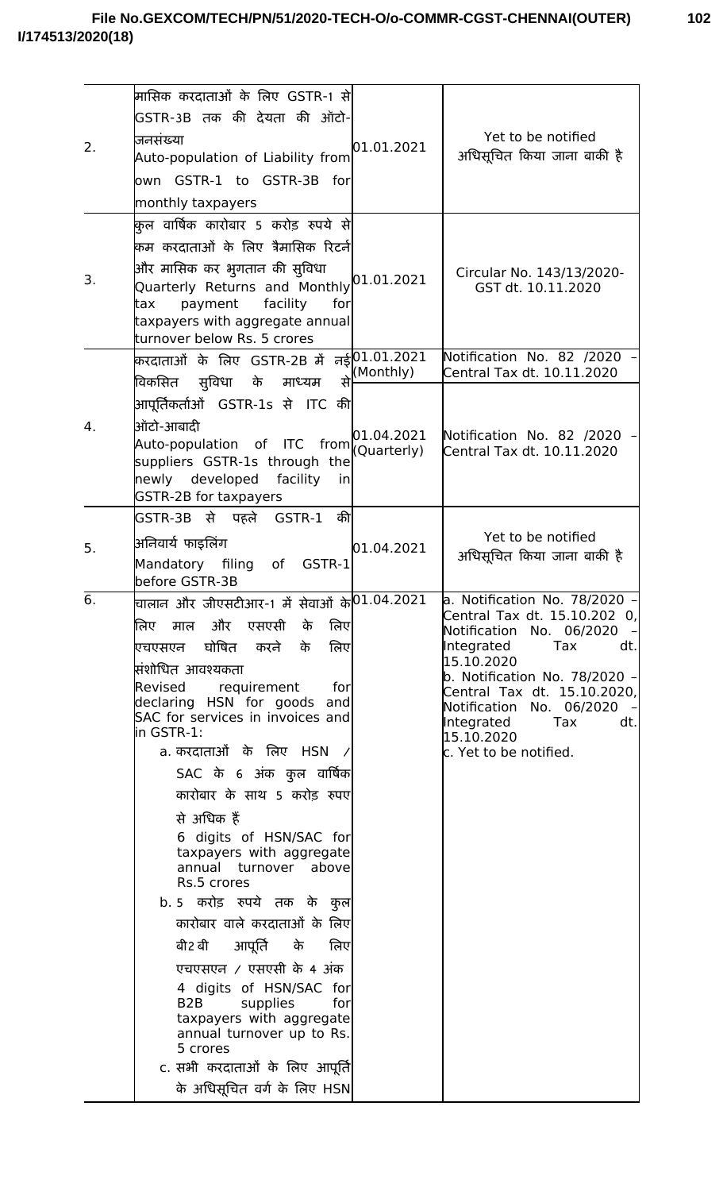| 2. | म्रासिक करदाताओं के लिए GSTR-1 से<br> GSTR-3B तक की देयता की ऑटो-<br>जनसंख्या<br>Auto-population of Liability from<br>own GSTR-1 to GSTR-3B for<br>monthly taxpayers                                                                                                                                                                                                                                                                                                                                                                                                                                                                                                                                                                                                                                      | 01.01.2021                             | Yet to be notified<br>अधिसूचित किया जाना बाकी है                                                                                                                                                                                                                                                    |
|----|-----------------------------------------------------------------------------------------------------------------------------------------------------------------------------------------------------------------------------------------------------------------------------------------------------------------------------------------------------------------------------------------------------------------------------------------------------------------------------------------------------------------------------------------------------------------------------------------------------------------------------------------------------------------------------------------------------------------------------------------------------------------------------------------------------------|----------------------------------------|-----------------------------------------------------------------------------------------------------------------------------------------------------------------------------------------------------------------------------------------------------------------------------------------------------|
| 3. | कुल वार्षिक कारोबार 5 करोड़ रुपये से <br>किम करदाताओं के लिए त्रैमासिक रिटर्न<br>औिर मासिक कर भुगतान की सुविधा<br>Quarterly Returns and Monthly 01.01.2021<br>payment<br>facility<br>for<br>tax<br>taxpayers with aggregate annual<br>turnover below Rs. 5 crores                                                                                                                                                                                                                                                                                                                                                                                                                                                                                                                                         |                                        | Circular No. 143/13/2020-<br>GST dt. 10.11.2020                                                                                                                                                                                                                                                     |
| 4. | करदाताओं के लिए GSTR-2B में नई $ 01.01.2021\rangle$<br>से<br>विकसित सुविधा के माध्यम<br>आपूर्तिकर्ताओं GSTR-1s से ITC की <br>ऑिटो-आबादी<br>Auto-population of ITC from<br>suppliers GSTR-1s through the<br>newly developed<br>facility<br>in<br><b>GSTR-2B for taxpayers</b>                                                                                                                                                                                                                                                                                                                                                                                                                                                                                                                              | (Monthly)<br>01.04.2021<br>(Quarterly) | Notification No. 82 /2020<br>Central Tax dt. 10.11.2020<br>Notification No. 82 /2020<br>Central Tax dt. 10.11.2020                                                                                                                                                                                  |
| 5. | GSTR-3B से पहले GSTR-1 की <br>अनिवार्य फाइलिंग<br>Mandatory filing of GSTR-1<br>before GSTR-3B                                                                                                                                                                                                                                                                                                                                                                                                                                                                                                                                                                                                                                                                                                            | 01.04.2021                             | Yet to be notified<br>अधिसूचित किया जाना बाकी है                                                                                                                                                                                                                                                    |
| 6. | वालान और जीएसटीआर-1 में सेवाओं के $ 01.04.2021\rangle$<br>लिए माल और एसएसी<br>लिए<br>के<br>एचएसएन घोषित करने<br>के<br>लिए<br>सिंशोधित आवश्यकता<br>Revised<br>requirement<br>for<br>declaring HSN for goods<br>and<br>SAC for services in invoices and<br>lin GSTR-1:<br>a. करदाताओं के लिए HSN<br>SAC के 6 अंक कुल वार्षिक <br>कारोबार के साथ 5 करोड़ रुपए<br>से अधिक हैं<br>6 digits of HSN/SAC for<br>taxpayers with aggregate<br>annual turnover above<br>Rs.5 crores<br>b. 5 करोड़ रुपये तक के कुल<br>कारोबार वाले करदाताओं के लिए<br>आपूर्ति के<br>बी2 बी<br>लिए<br>एचएसएन / एसएसी के 4 अंक<br>4 digits of HSN/SAC for<br>B <sub>2</sub> B<br>supplies<br>for<br>taxpayers with aggregate<br>annual turnover up to Rs.<br>5 crores<br>c. सभी करदाताओं के लिए आपूर्ति <br>के अधिसूचित वर्ग के लिए HSN |                                        | a. Notification No. 78/2020 -<br>Central Tax dt. 15.10.202 0,<br>Notification No. 06/2020<br>Tax<br>Integrated<br>dt.<br>15.10.2020<br>b. Notification No. 78/2020 –<br>Central Tax dt. 15.10.2020,<br>Notification No. 06/2020<br>Integrated<br>Tax<br>dt.<br>15.10.2020<br>c. Yet to be notified. |